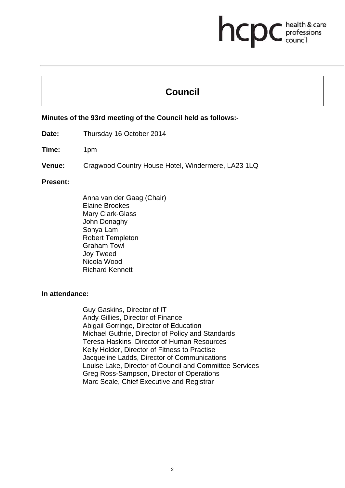# **health & care**

## **Council**

#### **Minutes of the 93rd meeting of the Council held as follows:-**

**Date:** Thursday 16 October 2014

- **Time:** 1pm
- **Venue:** Cragwood Country House Hotel, Windermere, LA23 1LQ

#### **Present:**

Anna van der Gaag (Chair) Elaine Brookes Mary Clark-Glass John Donaghy Sonya Lam Robert Templeton Graham Towl Joy Tweed Nicola Wood Richard Kennett

#### **In attendance:**

Guy Gaskins, Director of IT Andy Gillies, Director of Finance Abigail Gorringe, Director of Education Michael Guthrie, Director of Policy and Standards Teresa Haskins, Director of Human Resources Kelly Holder, Director of Fitness to Practise Jacqueline Ladds, Director of Communications Louise Lake, Director of Council and Committee Services Greg Ross-Sampson, Director of Operations Marc Seale, Chief Executive and Registrar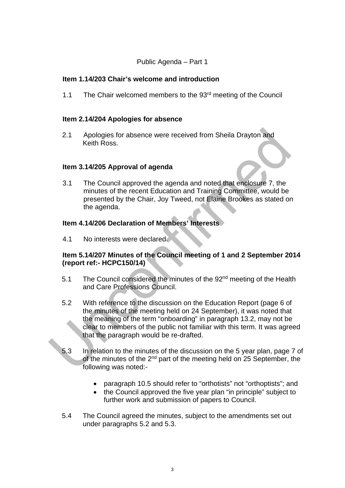#### Public Agenda – Part 1

#### **Item 1.14/203 Chair's welcome and introduction**

1.1 The Chair welcomed members to the 93<sup>rd</sup> meeting of the Council

#### **Item 2.14/204 Apologies for absence**

2.1 Apologies for absence were received from Sheila Drayton and Keith Ross.

#### **Item 3.14/205 Approval of agenda**

3.1 The Council approved the agenda and noted that enclosure 7, the minutes of the recent Education and Training Committee, would be presented by the Chair, Joy Tweed, not Elaine Brookes as stated on the agenda.

#### **Item 4.14/206 Declaration of Members' Interests**

4.1 No interests were declared.

#### **Item 5.14/207 Minutes of the Council meeting of 1 and 2 September 2014 (report ref:- HCPC150/14)**

- 5.1 The Council considered the minutes of the 92<sup>nd</sup> meeting of the Health and Care Professions Council.
- 5.2 With reference to the discussion on the Education Report (page 6 of the minutes of the meeting held on 24 September), it was noted that the meaning of the term "onboarding" in paragraph 13.2, may not be clear to members of the public not familiar with this term. It was agreed that the paragraph would be re-drafted.
- 5.3 In relation to the minutes of the discussion on the 5 year plan, page 7 of of the minutes of the  $2^{nd}$  part of the meeting held on 25 September, the following was noted:
	- paragraph 10.5 should refer to "orthotists" not "orthoptists"; and
	- the Council approved the five year plan "in principle" subject to further work and submission of papers to Council.
- 5.4 The Council agreed the minutes, subject to the amendments set out under paragraphs 5.2 and 5.3.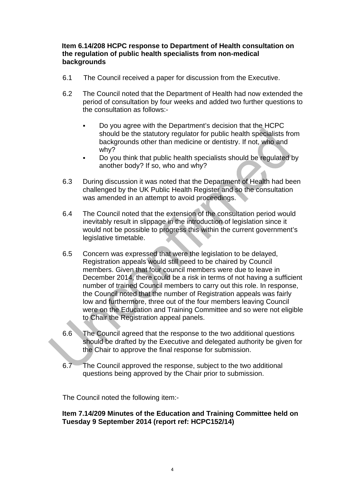#### **Item 6.14/208 HCPC response to Department of Health consultation on the regulation of public health specialists from non-medical backgrounds**

- 6.1 The Council received a paper for discussion from the Executive.
- 6.2 The Council noted that the Department of Health had now extended the period of consultation by four weeks and added two further questions to the consultation as follows:-
	- Do you agree with the Department's decision that the HCPC should be the statutory regulator for public health specialists from backgrounds other than medicine or dentistry. If not, who and why?
	- Do you think that public health specialists should be regulated by another body? If so, who and why?
- 6.3 During discussion it was noted that the Department of Health had been challenged by the UK Public Health Register and so the consultation was amended in an attempt to avoid proceedings.
- 6.4 The Council noted that the extension of the consultation period would inevitably result in slippage in the introduction of legislation since it would not be possible to progress this within the current government's legislative timetable.
- 6.5 Concern was expressed that were the legislation to be delayed, Registration appeals would still need to be chaired by Council members. Given that four council members were due to leave in December 2014, there could be a risk in terms of not having a sufficient number of trained Council members to carry out this role. In response, the Council noted that the number of Registration appeals was fairly low and furthermore, three out of the four members leaving Council were on the Education and Training Committee and so were not eligible to Chair the Registration appeal panels.
- 6.6 The Council agreed that the response to the two additional questions should be drafted by the Executive and delegated authority be given for the Chair to approve the final response for submission.
- $6.7$  The Council approved the response, subject to the two additional questions being approved by the Chair prior to submission.

The Council noted the following item:-

**Item 7.14/209 Minutes of the Education and Training Committee held on Tuesday 9 September 2014 (report ref: HCPC152/14)**